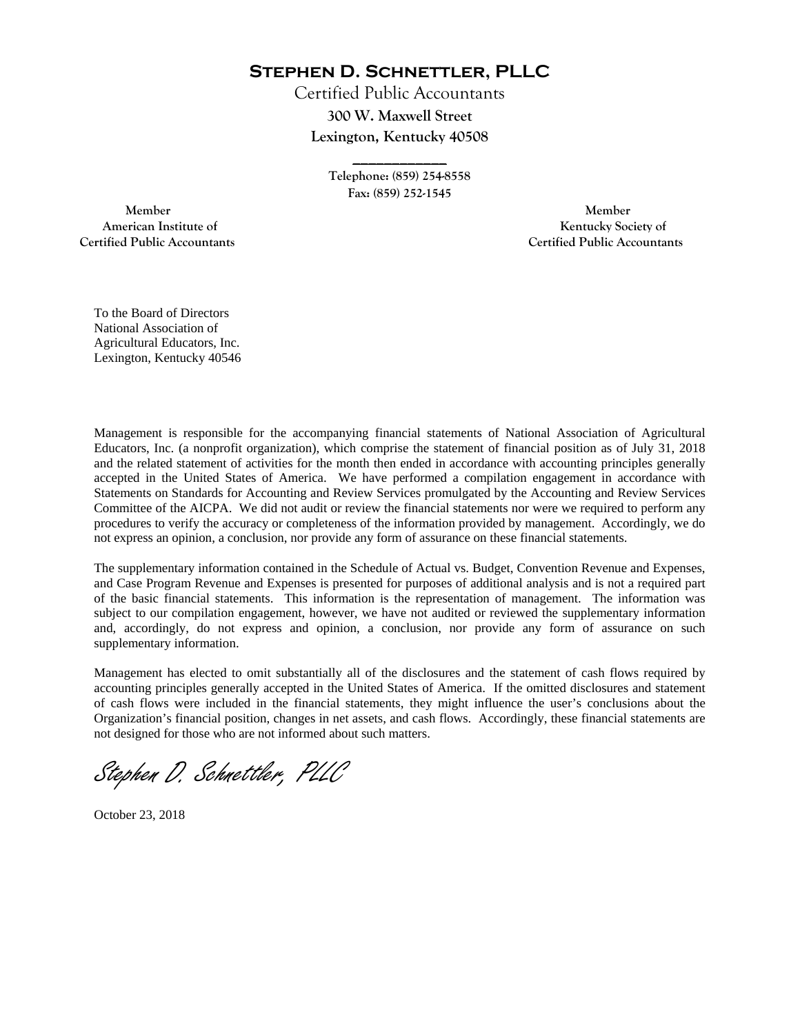**Stephen D. Schnettler, PLLC**

Certified Public Accountants **300 W. Maxwell Street Lexington, Kentucky 40508** 

> **Telephone: (859) 254-8558 Fax: (859) 252-1545**

**\_\_\_\_\_\_\_\_\_\_\_\_** 

 **Member Member Certified Public Accountants Certified Public Accountants** 

American Institute of **Kentucky Society of American Institute of** 

To the Board of Directors National Association of Agricultural Educators, Inc. Lexington, Kentucky 40546

Management is responsible for the accompanying financial statements of National Association of Agricultural Educators, Inc. (a nonprofit organization), which comprise the statement of financial position as of July 31, 2018 and the related statement of activities for the month then ended in accordance with accounting principles generally accepted in the United States of America. We have performed a compilation engagement in accordance with Statements on Standards for Accounting and Review Services promulgated by the Accounting and Review Services Committee of the AICPA. We did not audit or review the financial statements nor were we required to perform any procedures to verify the accuracy or completeness of the information provided by management. Accordingly, we do not express an opinion, a conclusion, nor provide any form of assurance on these financial statements.

The supplementary information contained in the Schedule of Actual vs. Budget, Convention Revenue and Expenses, and Case Program Revenue and Expenses is presented for purposes of additional analysis and is not a required part of the basic financial statements. This information is the representation of management. The information was subject to our compilation engagement, however, we have not audited or reviewed the supplementary information and, accordingly, do not express and opinion, a conclusion, nor provide any form of assurance on such supplementary information.

Management has elected to omit substantially all of the disclosures and the statement of cash flows required by accounting principles generally accepted in the United States of America. If the omitted disclosures and statement of cash flows were included in the financial statements, they might influence the user's conclusions about the Organization's financial position, changes in net assets, and cash flows. Accordingly, these financial statements are not designed for those who are not informed about such matters.

Stephen D. Schnettler, PLLC

October 23, 2018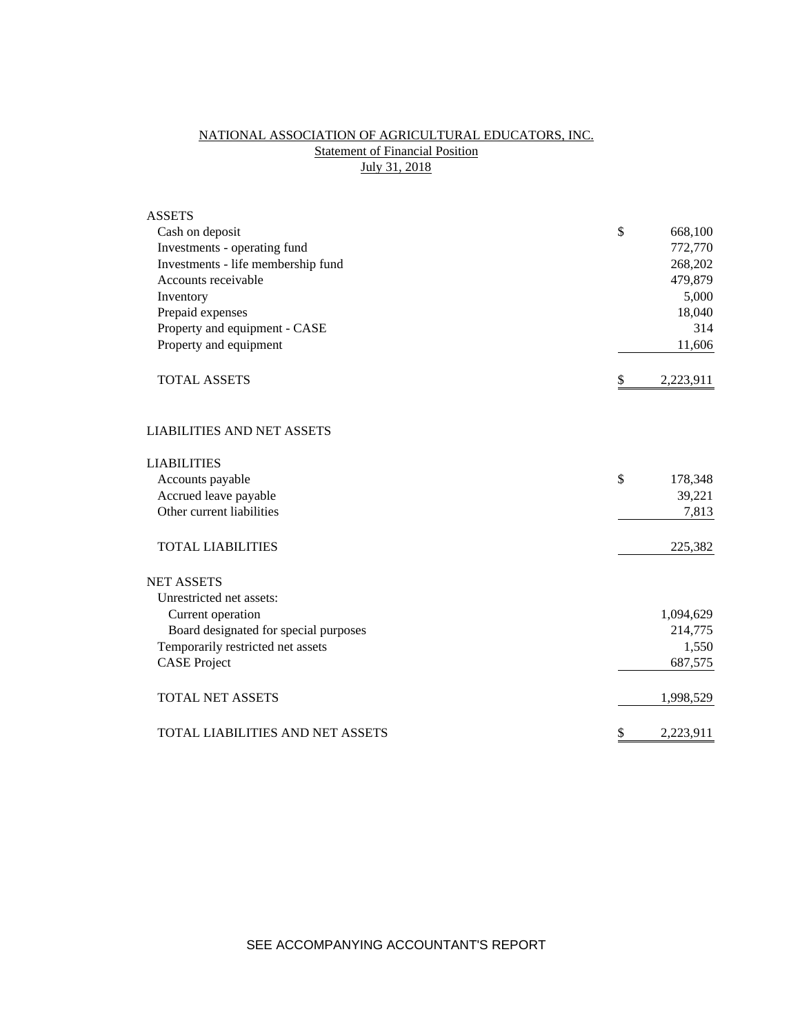# NATIONAL ASSOCIATION OF AGRICULTURAL EDUCATORS, INC. **Statement of Financial Position** July 31, 2018

| <b>ASSETS</b>                           |                 |
|-----------------------------------------|-----------------|
| Cash on deposit                         | \$<br>668,100   |
| Investments - operating fund            | 772,770         |
| Investments - life membership fund      | 268,202         |
| Accounts receivable                     | 479,879         |
| Inventory                               | 5,000           |
| Prepaid expenses                        | 18,040          |
| Property and equipment - CASE           | 314             |
| Property and equipment                  | 11,606          |
| <b>TOTAL ASSETS</b>                     | \$<br>2,223,911 |
| <b>LIABILITIES AND NET ASSETS</b>       |                 |
| <b>LIABILITIES</b>                      |                 |
| Accounts payable                        | \$<br>178,348   |
| Accrued leave payable                   | 39,221          |
| Other current liabilities               | 7,813           |
| <b>TOTAL LIABILITIES</b>                | 225,382         |
| <b>NET ASSETS</b>                       |                 |
| Unrestricted net assets:                |                 |
| Current operation                       | 1,094,629       |
| Board designated for special purposes   | 214,775         |
| Temporarily restricted net assets       | 1,550           |
| <b>CASE Project</b>                     | 687,575         |
| <b>TOTAL NET ASSETS</b>                 | 1,998,529       |
| <b>TOTAL LIABILITIES AND NET ASSETS</b> | \$<br>2,223,911 |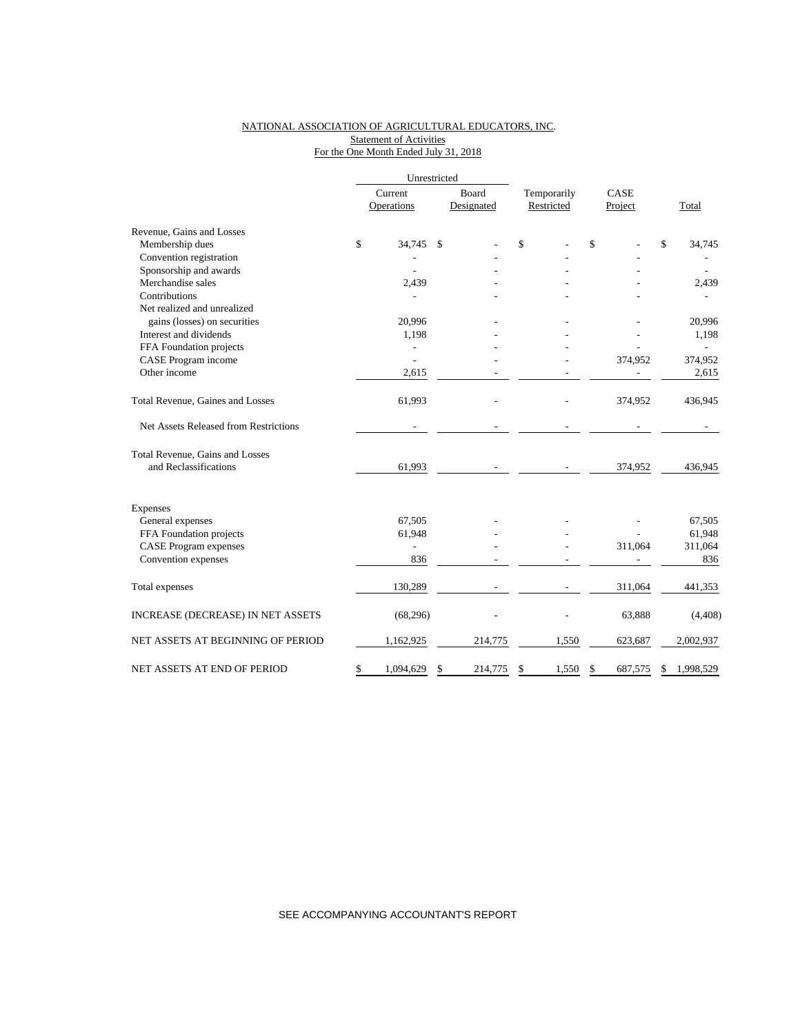# NATIONAL ASSOCIATION OF AGRICULTURAL EDUCATORS, INC. Statement of Activities For the One Month Ended July 31, 2018

|                                       | Unrestricted |                       |    |                     |                           |       |                 |              |           |
|---------------------------------------|--------------|-----------------------|----|---------------------|---------------------------|-------|-----------------|--------------|-----------|
|                                       |              | Current<br>Operations |    | Board<br>Designated | Temporarily<br>Restricted |       | CASE<br>Project |              | Total     |
| Revenue, Gains and Losses             |              |                       |    |                     |                           |       |                 |              |           |
| Membership dues                       | \$           | 34,745                | \$ |                     | \$                        |       | \$              | $\mathbb{S}$ | 34,745    |
| Convention registration               |              |                       |    |                     |                           |       |                 |              |           |
| Sponsorship and awards                |              |                       |    |                     |                           |       |                 |              |           |
| Merchandise sales                     |              | 2,439                 |    |                     |                           |       |                 |              | 2,439     |
| Contributions                         |              |                       |    |                     |                           |       |                 |              |           |
| Net realized and unrealized           |              |                       |    |                     |                           |       |                 |              |           |
| gains (losses) on securities          |              | 20,996                |    |                     |                           |       |                 |              | 20,996    |
| Interest and dividends                |              | 1,198                 |    |                     |                           |       |                 |              | 1,198     |
| FFA Foundation projects               |              |                       |    |                     |                           |       |                 |              |           |
| CASE Program income                   |              |                       |    |                     |                           |       | 374,952         |              | 374,952   |
| Other income                          |              | 2,615                 |    |                     |                           |       |                 |              | 2,615     |
| Total Revenue, Gaines and Losses      |              | 61,993                |    |                     |                           |       | 374,952         |              | 436,945   |
| Net Assets Released from Restrictions |              |                       |    |                     |                           |       |                 |              |           |
| Total Revenue, Gains and Losses       |              |                       |    |                     |                           |       |                 |              |           |
| and Reclassifications                 |              | 61,993                |    |                     |                           |       | 374,952         |              | 436,945   |
| Expenses                              |              |                       |    |                     |                           |       |                 |              |           |
| General expenses                      |              | 67,505                |    |                     |                           |       |                 |              | 67,505    |
| FFA Foundation projects               |              | 61,948                |    |                     |                           |       |                 |              | 61,948    |
| <b>CASE Program expenses</b>          |              |                       |    |                     |                           |       | 311,064         |              | 311,064   |
| Convention expenses                   |              | 836                   |    |                     |                           |       |                 |              | 836       |
| Total expenses                        |              | 130,289               |    |                     |                           |       | 311,064         |              | 441,353   |
| INCREASE (DECREASE) IN NET ASSETS     |              | (68, 296)             |    |                     |                           |       | 63,888          |              | (4, 408)  |
| NET ASSETS AT BEGINNING OF PERIOD     |              | 1,162,925             |    | 214,775             |                           | 1,550 | 623,687         |              | 2,002,937 |
| NET ASSETS AT END OF PERIOD           | \$           | 1,094,629             | \$ | 214,775             | \$                        | 1,550 | \$<br>687,575   | \$           | 1,998,529 |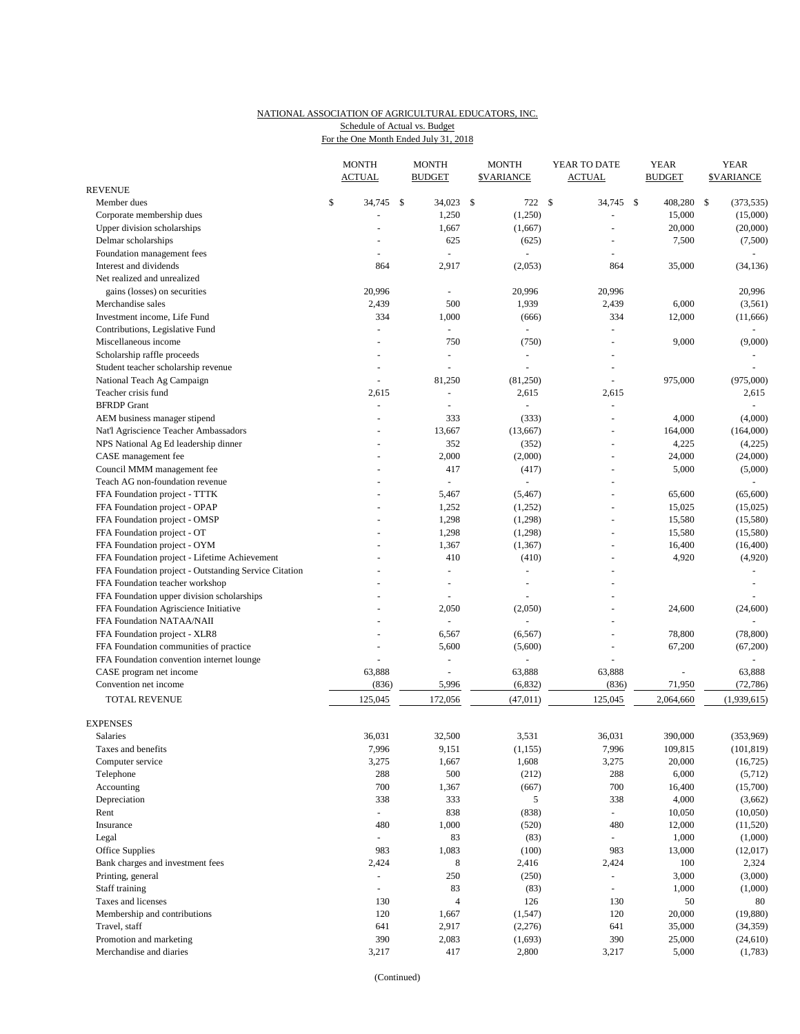## NATIONAL ASSOCIATION OF AGRICULTURAL EDUCATORS, INC. Schedule of Actual vs. Budget

For the One Month Ended July 31, 2018

|                                                       | <b>MONTH</b><br><b>ACTUAL</b> |                          | <b>MONTH</b><br><b>BUDGET</b> |                          | <b>MONTH</b><br><b><i>SVARIANCE</i></b> |                         | YEAR TO DATE<br><b>ACTUAL</b> |                          | <b>YEAR</b><br><b>BUDGET</b> |                 | <b>YEAR</b><br><b><i>SVARIANCE</i></b> |
|-------------------------------------------------------|-------------------------------|--------------------------|-------------------------------|--------------------------|-----------------------------------------|-------------------------|-------------------------------|--------------------------|------------------------------|-----------------|----------------------------------------|
| <b>REVENUE</b>                                        |                               |                          |                               |                          |                                         |                         |                               |                          |                              |                 |                                        |
| Member dues                                           | \$                            | 34,745                   | - \$                          | 34,023                   | -\$                                     | 722 \$                  |                               | 34,745                   | $\mathbb{S}$                 | 408,280         | \$<br>(373, 535)                       |
| Corporate membership dues                             |                               |                          |                               | 1,250                    |                                         | (1,250)                 |                               |                          |                              | 15,000          | (15,000)                               |
| Upper division scholarships                           |                               |                          |                               | 1,667                    |                                         | (1,667)                 |                               |                          |                              | 20,000          | (20,000)                               |
| Delmar scholarships                                   |                               |                          |                               | 625                      |                                         | (625)                   |                               |                          |                              | 7,500           | (7,500)                                |
| Foundation management fees                            |                               | $\overline{a}$           |                               | $\sim$                   |                                         |                         |                               | $\overline{\phantom{a}}$ |                              |                 |                                        |
| Interest and dividends                                |                               | 864                      |                               | 2,917                    |                                         | (2,053)                 |                               | 864                      |                              | 35,000          | (34, 136)                              |
| Net realized and unrealized                           |                               |                          |                               |                          |                                         |                         |                               |                          |                              |                 |                                        |
| gains (losses) on securities                          |                               | 20,996                   |                               |                          |                                         | 20,996                  |                               | 20,996                   |                              |                 | 20,996                                 |
| Merchandise sales<br>Investment income, Life Fund     |                               | 2,439<br>334             |                               | 500<br>1,000             |                                         | 1,939                   |                               | 2,439<br>334             |                              | 6,000<br>12,000 | (3, 561)<br>(11,666)                   |
| Contributions, Legislative Fund                       |                               | ÷,                       |                               | $\omega$                 |                                         | (666)<br>$\omega$       |                               |                          |                              |                 | $\omega$                               |
| Miscellaneous income                                  |                               | $\blacksquare$           |                               | 750                      |                                         | (750)                   |                               |                          |                              | 9,000           | (9,000)                                |
| Scholarship raffle proceeds                           |                               | $\ddot{}$                |                               | $\overline{\phantom{a}}$ |                                         | ÷,                      |                               |                          |                              |                 |                                        |
| Student teacher scholarship revenue                   |                               | $\ddot{}$                |                               | $\overline{a}$           |                                         | ÷,                      |                               | $\overline{a}$           |                              |                 | $\sim$                                 |
|                                                       |                               | $\sim$                   |                               |                          |                                         |                         |                               |                          |                              | 975,000         | (975,000)                              |
| National Teach Ag Campaign<br>Teacher crisis fund     |                               | 2,615                    |                               | 81,250<br>$\blacksquare$ |                                         | (81,250)                |                               | 2,615                    |                              |                 | 2,615                                  |
| <b>BFRDP</b> Grant                                    |                               | $\overline{a}$           |                               |                          |                                         | 2,615<br>$\overline{a}$ |                               | $\sim$                   |                              |                 | $\sim$                                 |
| AEM business manager stipend                          |                               | $\ddot{}$                |                               | 333                      |                                         | (333)                   |                               | $\overline{a}$           |                              | 4,000           | (4,000)                                |
| Nat'l Agriscience Teacher Ambassadors                 |                               |                          |                               | 13,667                   |                                         |                         |                               |                          |                              | 164,000         | (164,000)                              |
| NPS National Ag Ed leadership dinner                  |                               |                          |                               | 352                      |                                         | (13,667)<br>(352)       |                               | $\blacksquare$           |                              | 4,225           | (4,225)                                |
| CASE management fee                                   |                               |                          |                               | 2,000                    |                                         | (2,000)                 |                               | $\overline{a}$           |                              | 24,000          | (24,000)                               |
| Council MMM management fee                            |                               |                          |                               | 417                      |                                         | (417)                   |                               |                          |                              | 5,000           | (5,000)                                |
| Teach AG non-foundation revenue                       |                               |                          |                               | $\overline{\phantom{a}}$ |                                         |                         |                               |                          |                              |                 |                                        |
| FFA Foundation project - TTTK                         |                               |                          |                               | 5,467                    |                                         | (5, 467)                |                               | $\overline{a}$           |                              | 65,600          | (65,600)                               |
| FFA Foundation project - OPAP                         |                               |                          |                               | 1,252                    |                                         | (1,252)                 |                               |                          |                              | 15,025          | (15,025)                               |
| FFA Foundation project - OMSP                         |                               |                          |                               | 1,298                    |                                         | (1,298)                 |                               | $\overline{a}$           |                              | 15,580          | (15,580)                               |
| FFA Foundation project - OT                           |                               |                          |                               | 1,298                    |                                         | (1,298)                 |                               |                          |                              | 15,580          |                                        |
| FFA Foundation project - OYM                          |                               |                          |                               | 1,367                    |                                         | (1, 367)                |                               | $\overline{a}$           |                              | 16,400          | (15,580)<br>(16, 400)                  |
| FFA Foundation project - Lifetime Achievement         |                               |                          |                               | 410                      |                                         | (410)                   |                               |                          |                              | 4,920           | (4,920)                                |
| FFA Foundation project - Outstanding Service Citation |                               |                          |                               | $\ddot{}$                |                                         | $\overline{a}$          |                               |                          |                              |                 |                                        |
| FFA Foundation teacher workshop                       |                               |                          |                               |                          |                                         |                         |                               |                          |                              |                 |                                        |
| FFA Foundation upper division scholarships            |                               |                          |                               | $\ddot{}$                |                                         |                         |                               | ٠                        |                              |                 |                                        |
| FFA Foundation Agriscience Initiative                 |                               |                          |                               | 2,050                    |                                         | (2,050)                 |                               |                          |                              | 24,600          | (24, 600)                              |
| FFA Foundation NATAA/NAII                             |                               |                          |                               |                          |                                         |                         |                               | $\overline{a}$           |                              |                 |                                        |
| FFA Foundation project - XLR8                         |                               |                          |                               | 6,567                    |                                         | (6, 567)                |                               | $\overline{a}$           |                              | 78,800          | (78, 800)                              |
| FFA Foundation communities of practice                |                               |                          |                               | 5,600                    |                                         | (5,600)                 |                               |                          |                              | 67,200          | (67,200)                               |
| FFA Foundation convention internet lounge             |                               | $\blacksquare$           |                               | ÷,                       |                                         | ÷,                      |                               | $\blacksquare$           |                              |                 |                                        |
| CASE program net income                               |                               | 63,888                   |                               |                          |                                         | 63,888                  |                               | 63,888                   |                              |                 | 63,888                                 |
| Convention net income                                 |                               | (836)                    |                               | 5,996                    |                                         | (6, 832)                |                               | (836)                    |                              | 71,950          | (72, 786)                              |
|                                                       |                               |                          |                               |                          |                                         |                         |                               |                          |                              |                 |                                        |
| TOTAL REVENUE                                         |                               | 125,045                  |                               | 172,056                  |                                         | (47, 011)               |                               | 125,045                  |                              | 2,064,660       | (1,939,615)                            |
| <b>EXPENSES</b>                                       |                               |                          |                               |                          |                                         |                         |                               |                          |                              |                 |                                        |
| Salaries                                              |                               | 36,031                   |                               | 32,500                   |                                         | 3,531                   |                               | 36,031                   |                              | 390,000         | (353,969)                              |
| Taxes and benefits                                    |                               | 7,996                    |                               | 9,151                    |                                         | (1, 155)                |                               | 7,996                    |                              | 109,815         | (101, 819)                             |
| Computer service                                      |                               | 3,275                    |                               | 1,667                    |                                         | 1,608                   |                               | 3,275                    |                              | 20,000          | (16, 725)                              |
| Telephone                                             |                               | 288                      |                               | 500                      |                                         | (212)                   |                               | 288                      |                              | 6,000           | (5,712)                                |
| Accounting                                            |                               | 700                      |                               | 1,367                    |                                         | (667)                   |                               | 700                      |                              | 16,400          | (15,700)                               |
| Depreciation                                          |                               | 338                      |                               | 333                      |                                         | 5                       |                               | 338                      |                              | 4,000           | (3,662)                                |
| Rent                                                  |                               | $\omega$                 |                               | 838                      |                                         | (838)                   |                               | $\equiv$                 |                              | 10,050          | (10,050)                               |
| Insurance                                             |                               | 480                      |                               | 1,000                    |                                         | (520)                   |                               | 480                      |                              | 12,000          | (11,520)                               |
| Legal                                                 |                               | $\overline{\phantom{a}}$ |                               | 83                       |                                         | (83)                    |                               |                          |                              | 1,000           | (1,000)                                |
| Office Supplies                                       |                               | 983                      |                               | 1,083                    |                                         | (100)                   |                               | 983                      |                              | 13,000          | (12,017)                               |
| Bank charges and investment fees                      |                               | 2,424                    |                               | 8                        |                                         | 2,416                   |                               | 2,424                    |                              | 100             | 2,324                                  |
| Printing, general                                     |                               | $\sim$                   |                               | 250                      |                                         | (250)                   |                               | $\equiv$                 |                              | 3,000           | (3,000)                                |
| Staff training                                        |                               | $\overline{\phantom{a}}$ |                               | 83                       |                                         | (83)                    |                               | $\equiv$                 |                              | 1,000           | (1,000)                                |
| Taxes and licenses                                    |                               | 130                      |                               | $\overline{4}$           |                                         | 126                     |                               | 130                      |                              | 50              | 80                                     |
| Membership and contributions                          |                               | 120                      |                               | 1,667                    |                                         | (1, 547)                |                               | 120                      |                              | 20,000          | (19,880)                               |
| Travel, staff                                         |                               | 641                      |                               | 2,917                    |                                         | (2,276)                 |                               | 641                      |                              | 35,000          | (34, 359)                              |
| Promotion and marketing                               |                               | 390                      |                               | 2,083                    |                                         | (1,693)                 |                               | 390                      |                              | 25,000          | (24, 610)                              |
| Merchandise and diaries                               |                               | 3,217                    |                               | 417                      |                                         | 2,800                   |                               | 3,217                    |                              | 5,000           | (1,783)                                |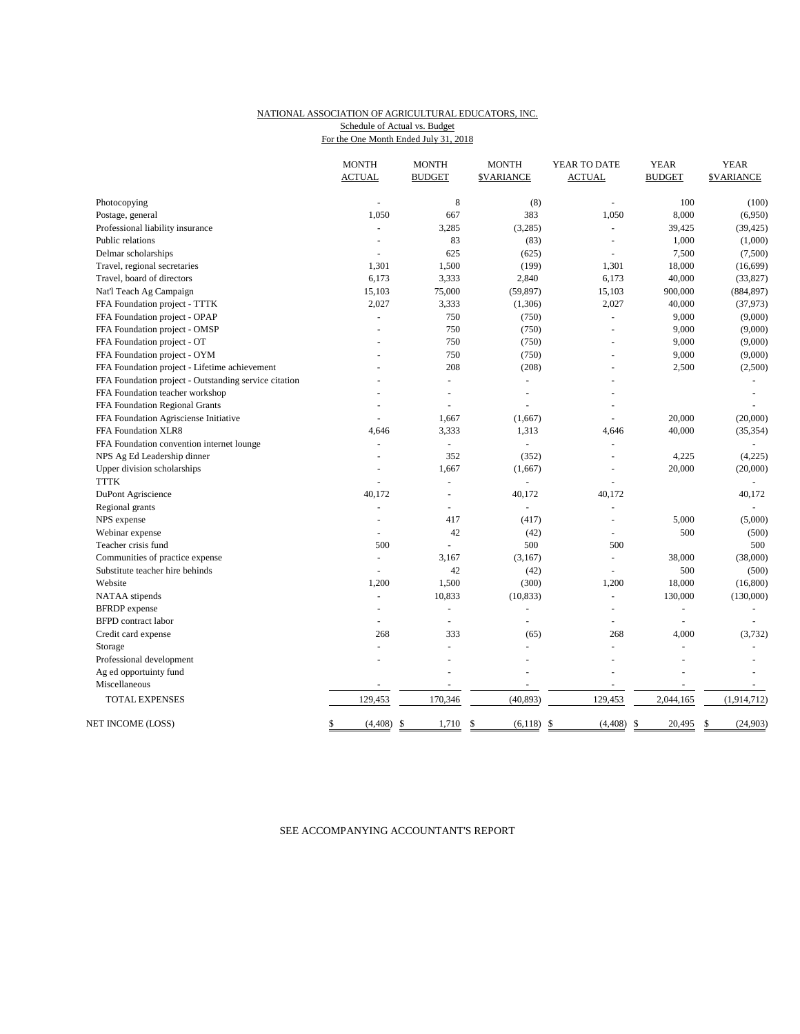## NATIONAL ASSOCIATION OF AGRICULTURAL EDUCATORS, INC. Schedule of Actual vs. Budget

For the One Month Ended July 31, 2018

|                                                       | <b>MONTH</b><br><b>ACTUAL</b> | <b>MONTH</b><br><b>BUDGET</b> | <b>MONTH</b><br><b>\$VARIANCE</b> | YEAR TO DATE<br><b>ACTUAL</b> | <b>YEAR</b><br><b>BUDGET</b> | <b>YEAR</b><br><b><i>SVARIANCE</i></b> |
|-------------------------------------------------------|-------------------------------|-------------------------------|-----------------------------------|-------------------------------|------------------------------|----------------------------------------|
| Photocopying                                          |                               | 8                             | (8)                               | $\sim$                        | 100                          | (100)                                  |
| Postage, general                                      | 1,050                         | 667                           | 383                               | 1,050                         | 8,000                        | (6,950)                                |
| Professional liability insurance                      |                               | 3,285                         | (3,285)                           |                               | 39,425                       | (39, 425)                              |
| Public relations                                      | $\overline{\phantom{a}}$      | 83                            | (83)                              | $\overline{a}$                | 1,000                        | (1,000)                                |
| Delmar scholarships                                   |                               | 625                           | (625)                             |                               | 7,500                        | (7,500)                                |
| Travel, regional secretaries                          | 1,301                         | 1,500                         | (199)                             | 1,301                         | 18,000                       | (16, 699)                              |
| Travel, board of directors                            | 6,173                         | 3,333                         | 2,840                             | 6,173                         | 40,000                       | (33,827)                               |
| Nat'l Teach Ag Campaign                               | 15,103                        | 75,000                        | (59, 897)                         | 15,103                        | 900,000                      | (884, 897)                             |
| FFA Foundation project - TTTK                         | 2,027                         | 3,333                         | (1,306)                           | 2,027                         | 40,000                       | (37, 973)                              |
| FFA Foundation project - OPAP                         |                               | 750                           | (750)                             |                               | 9,000                        | (9,000)                                |
| FFA Foundation project - OMSP                         |                               | 750                           | (750)                             |                               | 9,000                        | (9,000)                                |
| FFA Foundation project - OT                           |                               | 750                           | (750)                             |                               | 9,000                        | (9,000)                                |
| FFA Foundation project - OYM                          |                               | 750                           | (750)                             |                               | 9,000                        | (9,000)                                |
| FFA Foundation project - Lifetime achievement         |                               | 208                           | (208)                             |                               | 2,500                        | (2,500)                                |
| FFA Foundation project - Outstanding service citation |                               | L.                            | $\blacksquare$                    |                               |                              |                                        |
| FFA Foundation teacher workshop                       |                               |                               |                                   |                               |                              |                                        |
| FFA Foundation Regional Grants                        |                               | ÷,                            |                                   |                               |                              |                                        |
| FFA Foundation Agrisciense Initiative                 |                               | 1,667                         | (1,667)                           |                               | 20,000                       | (20,000)                               |
| FFA Foundation XLR8                                   | 4,646                         | 3,333                         | 1,313                             | 4,646                         | 40,000                       | (35, 354)                              |
| FFA Foundation convention internet lounge             | $\overline{\phantom{a}}$      | L.                            | ÷                                 |                               |                              |                                        |
| NPS Ag Ed Leadership dinner                           | $\overline{a}$                | 352                           | (352)                             | $\overline{a}$                | 4,225                        | (4,225)                                |
| Upper division scholarships                           |                               | 1,667                         | (1,667)                           | $\blacksquare$                | 20,000                       | (20,000)                               |
| <b>TTTK</b>                                           | L,                            | L,                            |                                   | $\overline{a}$                |                              |                                        |
| DuPont Agriscience                                    | 40,172                        |                               | 40,172                            | 40,172                        |                              | 40,172                                 |
| Regional grants                                       | $\overline{\phantom{a}}$      | ÷                             | ÷                                 | $\sim$                        |                              |                                        |
| NPS expense                                           | ÷.                            | 417                           | (417)                             | ÷,                            | 5,000                        | (5,000)                                |
| Webinar expense                                       | $\overline{\phantom{a}}$      | 42                            | (42)                              |                               | 500                          | (500)                                  |
| Teacher crisis fund                                   | 500                           | L.                            | 500                               | 500                           |                              | 500                                    |
| Communities of practice expense                       | $\blacksquare$                | 3,167                         | (3,167)                           | $\equiv$                      | 38,000                       | (38,000)                               |
| Substitute teacher hire behinds                       | $\sim$                        | 42                            | (42)                              |                               | 500                          | (500)                                  |
| Website                                               | 1,200                         | 1,500                         | (300)                             | 1,200                         | 18,000                       | (16, 800)                              |
| NATAA stipends                                        | $\overline{\phantom{a}}$      | 10,833                        | (10, 833)                         | $\sim$                        | 130,000                      | (130,000)                              |
| <b>BFRDP</b> expense                                  |                               | ÷,                            |                                   | $\overline{a}$                | $\overline{a}$               |                                        |
| <b>BFPD</b> contract labor                            | $\overline{\phantom{a}}$      | L,                            |                                   |                               | ÷,                           |                                        |
| Credit card expense                                   | 268                           | 333                           | (65)                              | 268                           | 4,000                        | (3, 732)                               |
| Storage                                               |                               |                               |                                   |                               |                              |                                        |
| Professional development                              | $\overline{\phantom{a}}$      | $\overline{a}$                | $\overline{a}$                    | $\overline{\phantom{a}}$      | $\overline{a}$               |                                        |
| Ag ed opportuinty fund                                |                               |                               |                                   |                               |                              |                                        |
| Miscellaneous                                         |                               |                               |                                   | $\overline{a}$                | $\overline{a}$               |                                        |
| <b>TOTAL EXPENSES</b>                                 | 129,453                       | 170,346                       | (40, 893)                         | 129,453                       | 2,044,165                    | (1,914,712)                            |
| NET INCOME (LOSS)                                     | \$<br>(4, 408)                | -\$<br>1,710                  | \$<br>$(6,118)$ \$                | (4, 408)<br>-\$               | 20,495                       | (24, 903)<br>\$                        |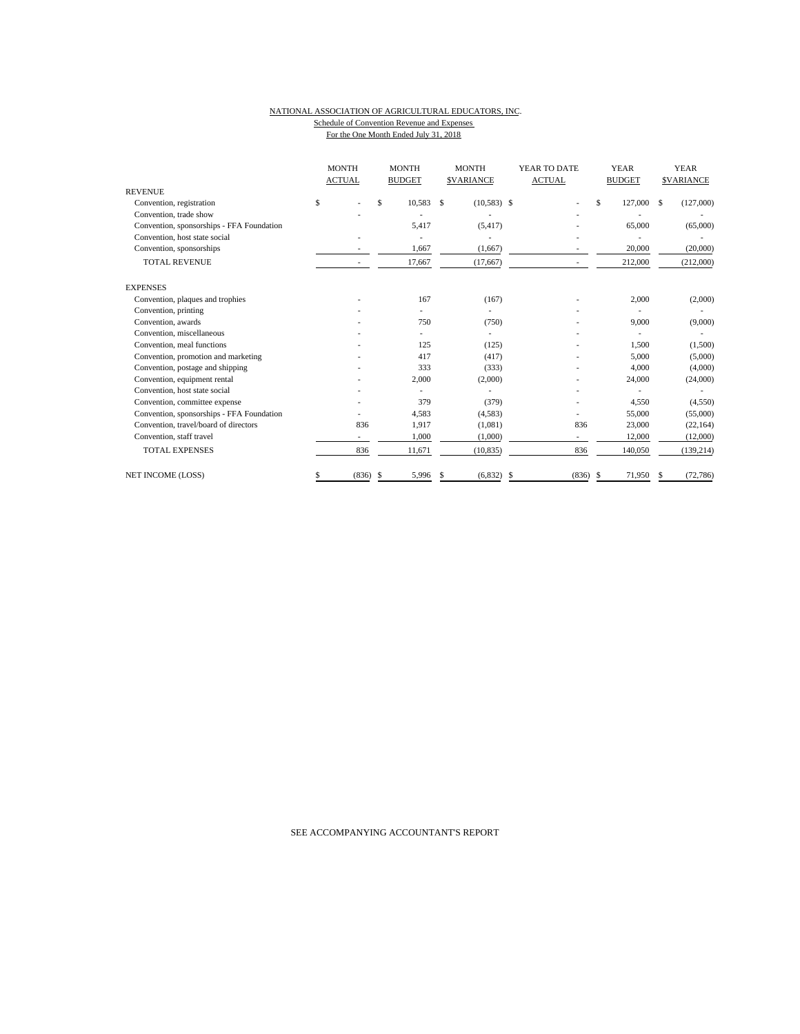#### NATIONAL ASSOCIATION OF AGRICULTURAL EDUCATORS, INC. Schedule of Convention Revenue and Expenses For the One Month Ended July 31, 2018

|  |  | . or any one momentumed surviving the |  |  |
|--|--|---------------------------------------|--|--|
|  |  |                                       |  |  |
|  |  |                                       |  |  |
|  |  |                                       |  |  |

|                                           | <b>MONTH</b><br><b>ACTUAL</b> |       | <b>MONTH</b><br><b>BUDGET</b> |        | <b>MONTH</b><br><b>SVARIANCE</b> |               | YEAR TO DATE<br><b>ACTUAL</b> |       | <b>YEAR</b><br><b>BUDGET</b> |         | <b>YEAR</b><br><b>SVARIANCE</b> |            |
|-------------------------------------------|-------------------------------|-------|-------------------------------|--------|----------------------------------|---------------|-------------------------------|-------|------------------------------|---------|---------------------------------|------------|
| <b>REVENUE</b>                            |                               |       |                               |        |                                  |               |                               |       |                              |         |                                 |            |
| Convention, registration                  | \$                            |       | \$.                           | 10,583 | \$                               | $(10,583)$ \$ |                               |       | \$                           | 127,000 | \$                              | (127,000)  |
| Convention, trade show                    |                               |       |                               |        |                                  |               |                               |       |                              |         |                                 |            |
| Convention, sponsorships - FFA Foundation |                               |       |                               | 5,417  |                                  | (5, 417)      |                               |       |                              | 65,000  |                                 | (65,000)   |
| Convention, host state social             |                               |       |                               |        |                                  |               |                               |       |                              |         |                                 |            |
| Convention, sponsorships                  |                               |       |                               | 1,667  |                                  | (1,667)       |                               |       |                              | 20,000  |                                 | (20,000)   |
| <b>TOTAL REVENUE</b>                      |                               |       |                               | 17,667 |                                  | (17, 667)     |                               |       |                              | 212,000 |                                 | (212,000)  |
| <b>EXPENSES</b>                           |                               |       |                               |        |                                  |               |                               |       |                              |         |                                 |            |
| Convention, plaques and trophies          |                               |       |                               | 167    |                                  | (167)         |                               |       |                              | 2,000   |                                 | (2,000)    |
| Convention, printing                      |                               |       |                               |        |                                  |               |                               |       |                              |         |                                 |            |
| Convention, awards                        |                               |       |                               | 750    |                                  | (750)         |                               |       |                              | 9,000   |                                 | (9,000)    |
| Convention, miscellaneous                 |                               |       |                               |        |                                  |               |                               |       |                              |         |                                 |            |
| Convention, meal functions                |                               |       |                               | 125    |                                  | (125)         |                               |       |                              | 1,500   |                                 | (1,500)    |
| Convention, promotion and marketing       |                               |       |                               | 417    |                                  | (417)         |                               |       |                              | 5,000   |                                 | (5,000)    |
| Convention, postage and shipping          |                               |       |                               | 333    |                                  | (333)         |                               |       |                              | 4,000   |                                 | (4,000)    |
| Convention, equipment rental              |                               |       |                               | 2,000  |                                  | (2,000)       |                               |       |                              | 24,000  |                                 | (24,000)   |
| Convention, host state social             |                               |       |                               |        |                                  |               |                               |       |                              |         |                                 |            |
| Convention, committee expense             |                               |       |                               | 379    |                                  | (379)         |                               |       |                              | 4,550   |                                 | (4,550)    |
| Convention, sponsorships - FFA Foundation |                               |       |                               | 4,583  |                                  | (4,583)       |                               | ٠     |                              | 55,000  |                                 | (55,000)   |
| Convention, travel/board of directors     |                               | 836   |                               | 1,917  |                                  | (1,081)       |                               | 836   |                              | 23,000  |                                 | (22, 164)  |
| Convention, staff travel                  |                               |       |                               | 1,000  |                                  | (1,000)       |                               |       |                              | 12,000  |                                 | (12,000)   |
| <b>TOTAL EXPENSES</b>                     |                               | 836   |                               | 11,671 |                                  | (10, 835)     |                               | 836   |                              | 140,050 |                                 | (139, 214) |
| NET INCOME (LOSS)                         | \$                            | (836) | -S                            | 5,996  | S                                | (6,832)       | \$                            | (836) | -S                           | 71,950  |                                 | (72, 786)  |